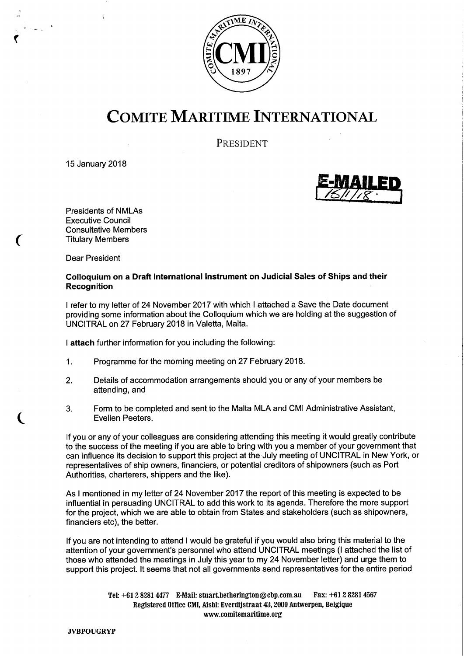

# COMITE MARITIME INTERNATIONAL

PRESIDENT

15 January 2018



Presidents of NMLAs Executive Council Consultative Members Titulary Members

Dear President

#### Colloquium on a Draft International Instrument on Judicial Sales of Ships and their Recognition

refer to my letter of 24 November 2017 with which I attached a Save the Date document providing some information about the Colloquium which we are holding at the suggestion of UNCITRAL on 27 February 2018 in Valetta, Malta.

attach further information for you including the following:

- $1<sub>1</sub>$ Programme for the morning meeting on 27 February 2018.
- 2. Details of accommodation arrangements should you or any of your members be attending, and
- 3. Form to be completed and sent to the Malta MLA and CMI Administrative Assistant, Evelien Peeters.

If you or any of your colleagues are considering attending this meeting it would greatly contribute to the success of the meeting if you are able to bring with you a member of your government that can influence its decision to support this project at the July meeting of UNCITRAL in New York, or representatives of ship owners, financiers, or potential creditors of shipowners (such as Port Authorities, charterers, shippers and the like).

As I mentioned in my letter of 24 November 2017 the report of this meeting is expected to be influential in persuading UNCITRAL to add this work to its agenda. Therefore the more support for the project, which we are able to obtain from States and stakeholders (such as shipowners, financiers etc), the better.

If you are not intending to attend I would be grateful if you would also bring this material to the attention of your government's personnel who attend UNCITRAL meetings (I attached the list of those who attended the meetings in July this year to my 24 November letter) and urge them to support this project. It seems that not all governments send representatives for the entire period

> Tel: +61 2 8281 4477 E-Mail: stuart.hetherington@cbp.com.au Fax: +61 2 8281 4567 Registered Office CMI, Aisbl: Everdijstraat 43, 2000 Antwerpen, Belgique www.comitemaritime.org

JVBPOUGRYP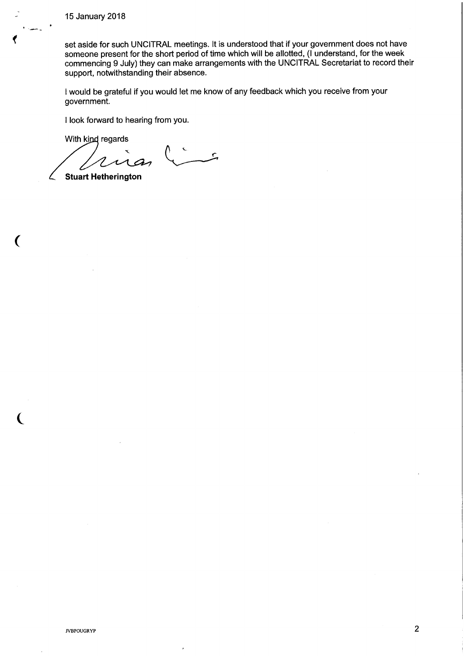15 January 2018

set aside for such UNCITRAL meetings. It is understood that if your government does not have someone present for the short period of time which will be allotted, (I understand, for the week commencing 9 July) they can make arrangements with the UNCITRAL Secretariat to record their support, notwithstanding their absence.

would be grateful if you would let me know of any feedback which you receive from your government.

I look forward to hearing from you.

With kind regards

 $\mathcal{L}$ L

Stuart Hetherington

 $\mathcal{L}$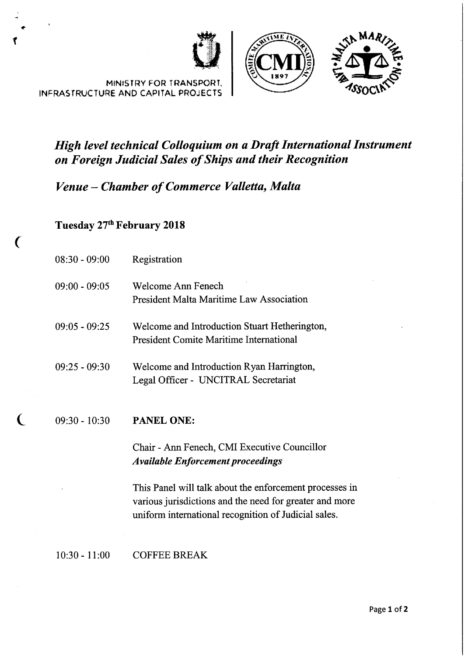





# High level technical Colloquium on a Draft International Instrument on Foreign Judicial Sales of Ships and their Recognition

# Venue —Chamber of Commerce Valletta, Malta

#### Tuesday 27<sup>th</sup> February 2018

INFRASTRUCTURE AND CAPITAL PROJECTS

| $08:30 - 09:00$ | Registration                                                                                    |
|-----------------|-------------------------------------------------------------------------------------------------|
| $09:00 - 09:05$ | Welcome Ann Fenech<br><b>President Malta Maritime Law Association</b>                           |
| $09:05 - 09:25$ | Welcome and Introduction Stuart Hetherington,<br><b>President Comite Maritime International</b> |
| $09:25 - 09:30$ | Welcome and Introduction Ryan Harrington,<br>Legal Officer - UNCITRAL Secretariat               |
| $09:30 - 10:30$ | <b>PANEL ONE:</b>                                                                               |

Chair -Ann Fenech, CMI Executive Councillor Available Enforcement proceedings

This Panel will talk about the enforcement processes in various jurisdictions and the need for greater and more uniform international recognition of Judicial sales.

10:30 - 11:00 COFFEE BREAK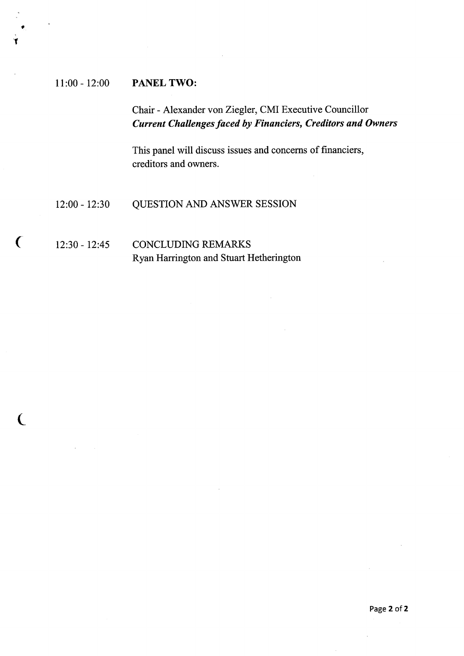#### 11:00 - 12:00 PANEL TWO:

 $\bullet$ 

 $\overline{ }$ 

Chair -Alexander von Ziegler, CMI Executive Councillor Current Challenges faced by Financiers, Creditors and Owners

This panel will discuss issues and concerns of financiers, creditors and owners.

#### 12:00 - 12:30 QUESTION AND ANSWER SESSION

#### 12:30 - 12:45 CONCLUDING REMARKS Ryan Harrington and Stuart Hetherington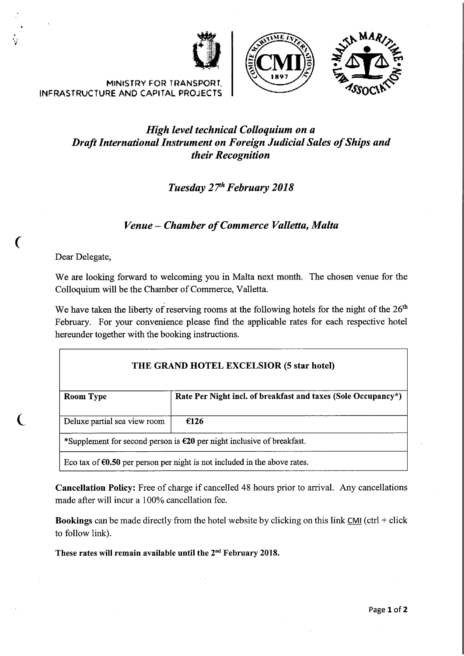





MINISTRY FOR TRANSPORT. INFRASTRUCTURE AND CAPITAL PROJECTS

### High level technical Colloquium on a Draft International Instrument on Foreign Tudicial Sales of Ships and their Recognition

### Tuesday 27<sup>th</sup> February 2018

#### Venue —Chamber of Commerce Valletta, Malta

Dear Delegate,

=~r

 $\left($ 

We are looking forward to welcoming you in Malta next month. The chosen venue for the Colloquium will be the Chamber of Commerce, Valletta.

We have taken the liberty of reserving rooms at the following hotels for the night of the  $26<sup>th</sup>$ February. For your convenience please find the applicable rates for each respective hotel hereunder together with the booking instructions.

| THE GRAND HOTEL EXCELSIOR (5 star hotel) |                                                                                     |  |
|------------------------------------------|-------------------------------------------------------------------------------------|--|
| Room Type                                | Rate Per Night incl. of breakfast and taxes (Sole Occupancy*)                       |  |
| Deluxe partial sea view room             | €126                                                                                |  |
|                                          | *Supplement for second person is $\epsilon$ 20 per night inclusive of breakfast.    |  |
|                                          | Eco tax of $\epsilon 0.50$ per person per night is not included in the above rates. |  |

Cancellation Policy: Free of charge if cancelled 48 hours prior to arrival. Any cancellations made after will incur a 100% cancellation fee.

Bookings can be made directly from the hotel website by clicking on this link  $CMI$  (ctrl + click to follow link).

These rates will remain available until the 2<sup>nd</sup> February 2018.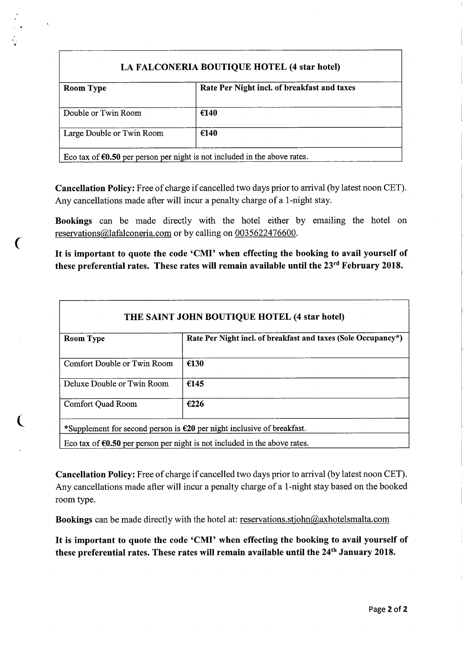#### LA FALCONERIA BOUTIQUE HOTEL (4 star hotel)

| <b>Room Type</b>          | Rate Per Night incl. of breakfast and taxes |
|---------------------------|---------------------------------------------|
| Double or Twin Room       | €140                                        |
| Large Double or Twin Room | €140                                        |
|                           |                                             |

Eco tax of  $60.50$  per person per night is not included in the above rates.

 $\overline{\mathbf{C}}$ 

Cancellation Policy: Free of charge if cancelled two days prior to arrival (by latest noon CET). Any cancellations made after will incur a penalty charge of a 1-night stay.

Bookings can be made directly with the hotel either by emailing the hotel on reservations@lafalconeria.com or by calling on 0035622476600.

It is important to quote the code 'CMI' when effecting the booking to avail yourself of these preferential rates. These rates will remain available until the 23<sup>rd</sup> February 2018.

| <b>Room Type</b>            | Rate Per Night incl. of breakfast and taxes (Sole Occupancy*) |
|-----------------------------|---------------------------------------------------------------|
| Comfort Double or Twin Room | €130                                                          |
| Deluxe Double or Twin Room  | €145                                                          |
| <b>Comfort Quad Room</b>    | €226                                                          |

Cancellation Policy: Free of charge if cancelled two days prior to arrival (by latest noon CET). Any cancellations made after will incur a penalty charge of a 1-night stay based on the booked room type.

Bookings can be made directly with the hotel at: reservations.stjohn@axhotelsmalta.com

It is important to quote the code 'CMI' when effecting the booking to avail yourself of these preferential rates. These rates will remain available until the 24<sup>th</sup> January 2018.